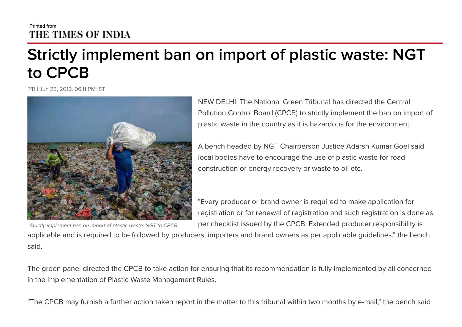## Printed from THE TIMES OF INDIA

## **Strictly implement ban on import of plastic waste: NGT to CPCB**

PTI | Jun 23, 2019, 06.11 PM IST



NEW DELHI: The National Green Tribunal has directed the Central Pollution Control Board (CPCB) to strictly implement the ban on import of plastic waste in the country as it is hazardous for the environment.

A bench headed by NGT Chairperson Justice Adarsh Kumar Goel said local bodies have to encourage the use of plastic waste for road construction or energy recovery or waste to oil etc.

"Every producer or brand owner is required to make application for registration or for renewal of registration and such registration is done as per checklist issued by the CPCB. Extended producer responsibility is

applicable and is required to be followed by producers, importers and brand owners as per applicable guidelines," the bench said.

The green panel directed the CPCB to take action for ensuring that its recommendation is fully implemented by all concerned in the implementation of Plastic Waste Management Rules.

"The CPCB may furnish a further action taken report in the matter to this tribunal within two months by e-mail," the bench said